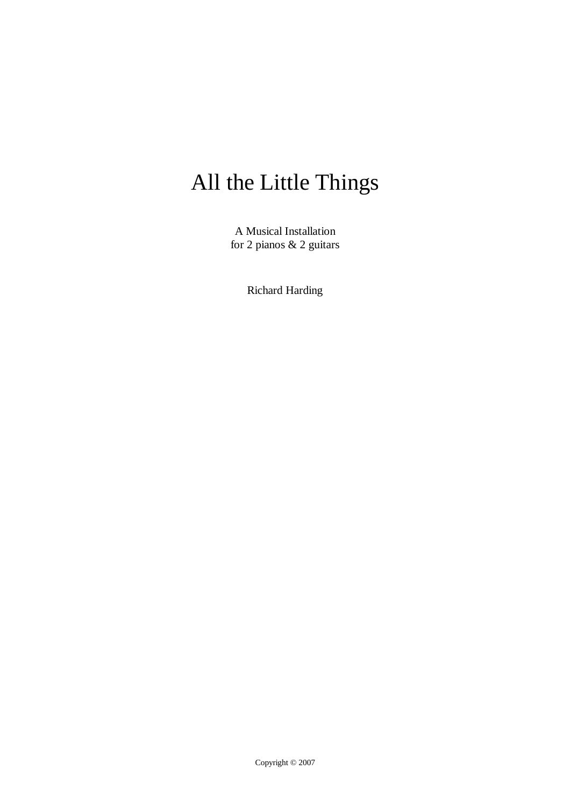## All the Little Things

A Musical Installation for 2 pianos & 2 guitars

Richard Harding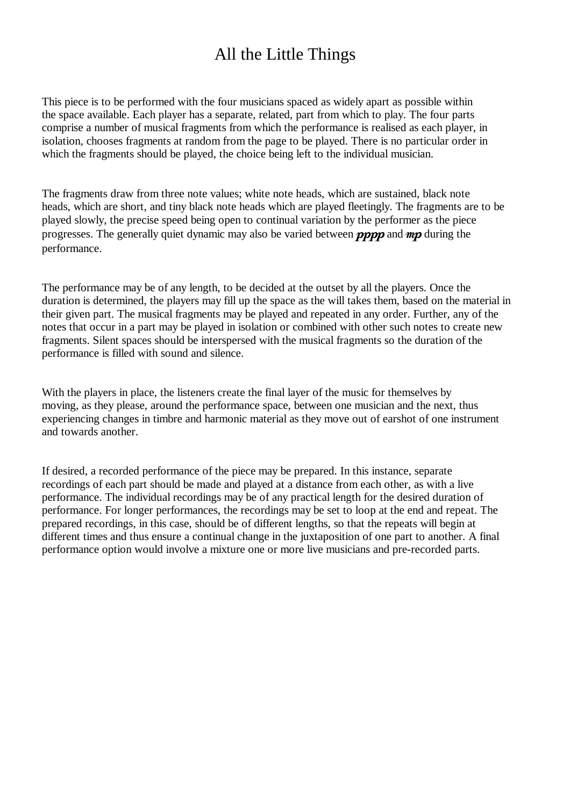## All the Little Things

This piece is to be performed with the four musicians spaced as widely apart as possible within the space available. Each player has a separate, related, part from which to play. The four parts comprise a number of musical fragments from which the performance is realised as each player, in isolation, chooses fragments at random from the page to be played. There is no particular order in which the fragments should be played, the choice being left to the individual musician.

The fragments draw from three note values; white note heads, which are sustained, black note heads, which are short, and tiny black note heads which are played fleetingly. The fragments are to be played slowly, the precise speed being open to continual variation by the performer as the piece progresses. The generally quiet dynamic may also be varied between  $pppp$  and  $mp$  during the performance.

The performance may be of any length, to be decided at the outset by all the players. Once the duration is determined, the players may fill up the space as the will takes them, based on the material in their given part. The musical fragments may be played and repeated in any order. Further, any of the notes that occur in a part may be played in isolation or combined with other such notes to create new fragments. Silent spaces should be interspersed with the musical fragments so the duration of the performance is filled with sound and silence.

With the players in place, the listeners create the final layer of the music for themselves by moving, as they please, around the performance space, between one musician and the next, thus experiencing changes in timbre and harmonic material as they move out of earshot of one instrument and towards another.

If desired, a recorded performance of the piece may be prepared. In this instance, separate recordings of each part should be made and played at a distance from each other, as with a live performance. The individual recordings may be of any practical length for the desired duration of performance. For longer performances, the recordings may be set to loop at the end and repeat. The prepared recordings, in this case, should be of different lengths, so that the repeats will begin at different times and thus ensure a continual change in the juxtaposition of one part to another. A final performance option would involve a mixture one or more live musicians and pre-recorded parts.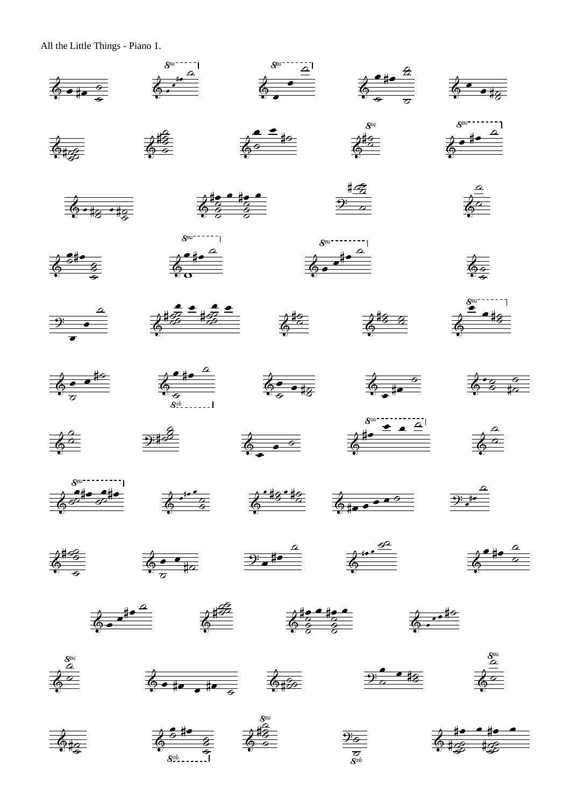All the Little Things - Piano 1.

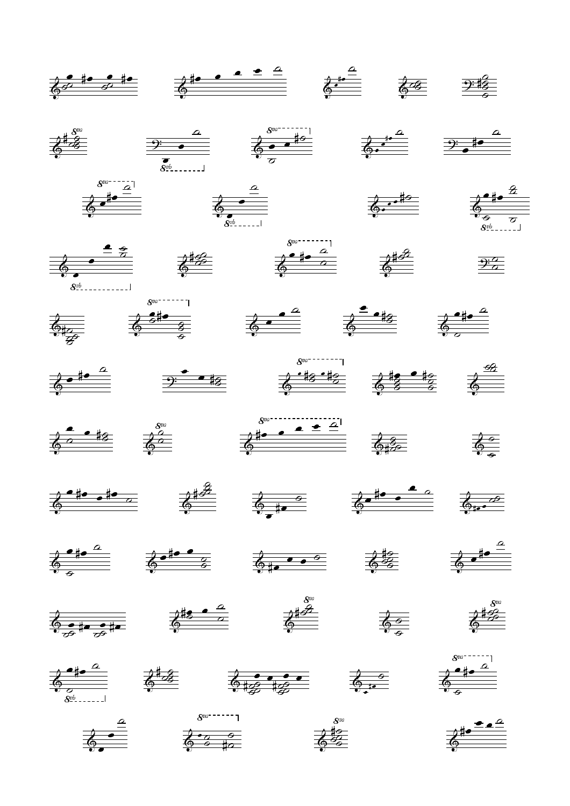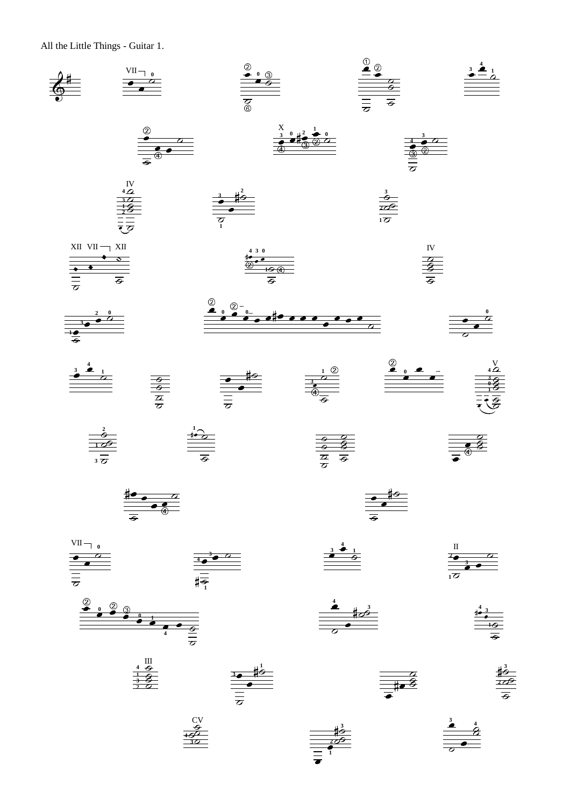All the Little Things - Guitar 1.



 $\overline{a}$ 

**1 2**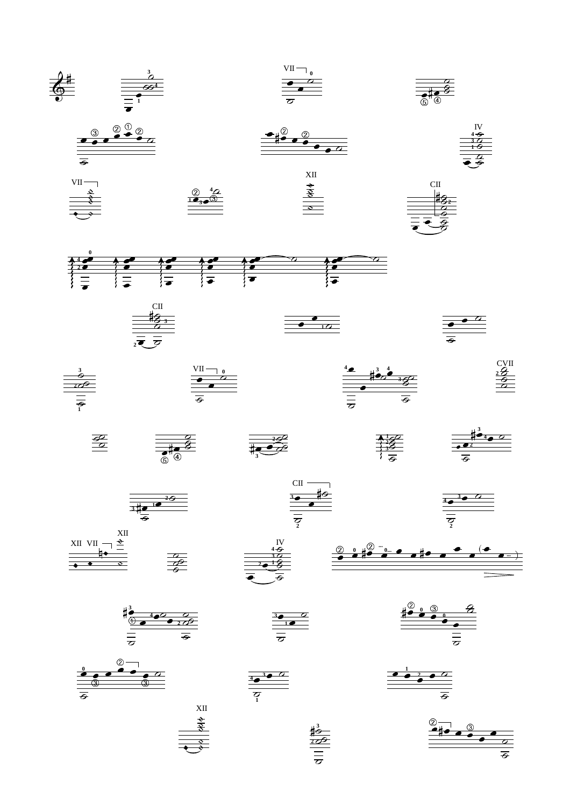

 $\frac{20}{7}$ 

 $\frac{3}{6}$ 

 $\overline{a}$ 

 $rac{\infty}{\infty}$ 

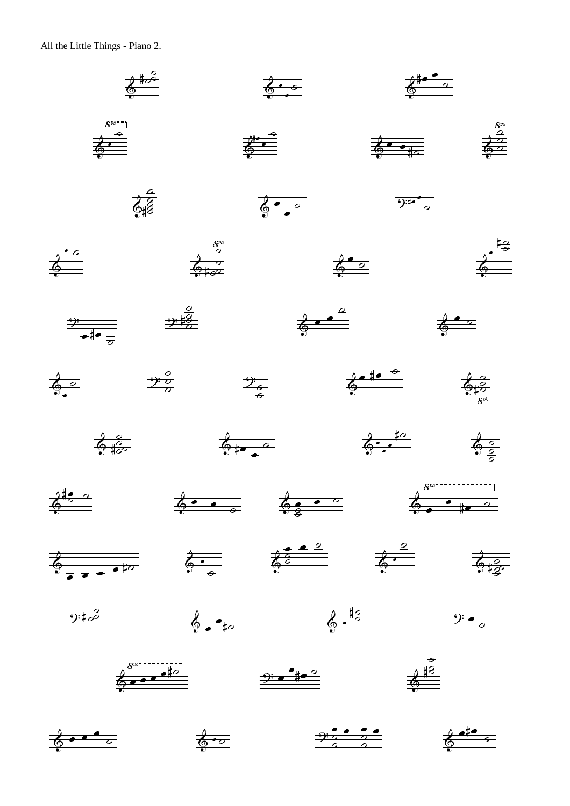All the Little Things - Piano 2.

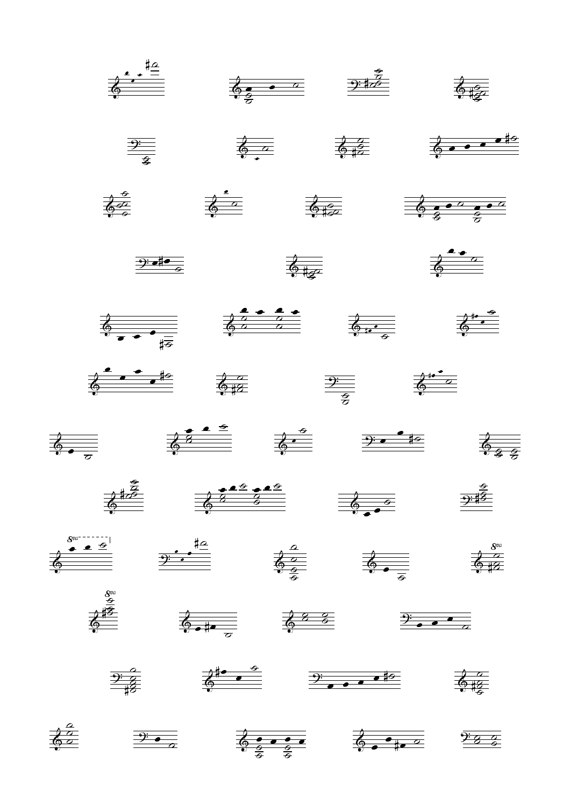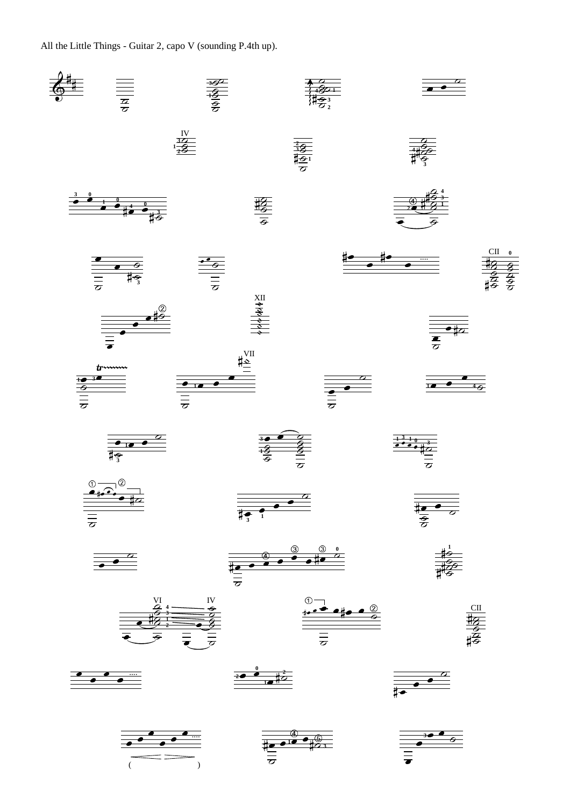All the Little Things - Guitar 2, capo V (sounding P.4th up).



 $($ 



 $\overline{a}$